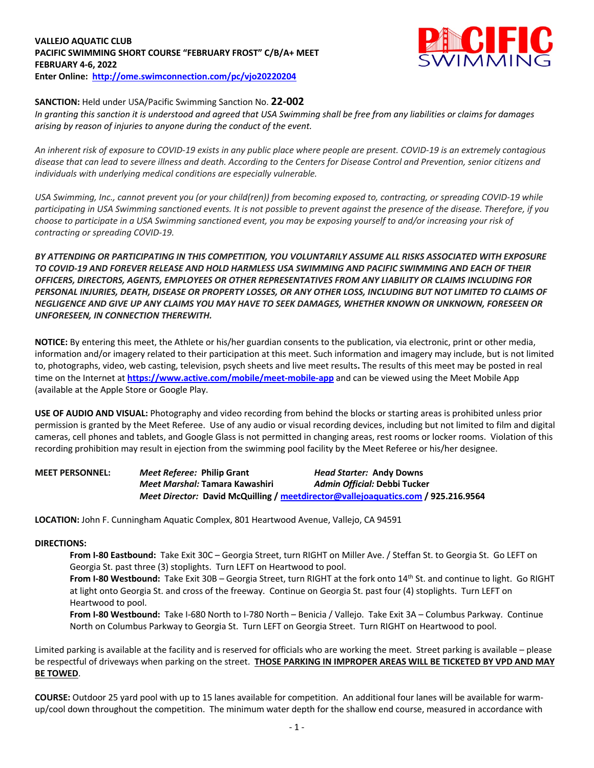## **VALLEJO AQUATIC CLUB PACIFIC SWIMMING SHORT COURSE "FEBRUARY FROST" C/B/A+ MEET FEBRUARY 4-6, 2022 Enter Online: http://ome.swimconnection.com/pc/vjo20220204**



## **SANCTION:** Held under USA/Pacific Swimming Sanction No. **22-002**

*In granting this sanction it is understood and agreed that USA Swimming shall be free from any liabilities or claims for damages arising by reason of injuries to anyone during the conduct of the event.* 

*An inherent risk of exposure to COVID-19 exists in any public place where people are present. COVID-19 is an extremely contagious disease that can lead to severe illness and death. According to the Centers for Disease Control and Prevention, senior citizens and individuals with underlying medical conditions are especially vulnerable.*

*USA Swimming, Inc., cannot prevent you (or your child(ren)) from becoming exposed to, contracting, or spreading COVID-19 while participating in USA Swimming sanctioned events. It is not possible to prevent against the presence of the disease. Therefore, if you choose to participate in a USA Swimming sanctioned event, you may be exposing yourself to and/or increasing your risk of contracting or spreading COVID-19.*

*BY ATTENDING OR PARTICIPATING IN THIS COMPETITION, YOU VOLUNTARILY ASSUME ALL RISKS ASSOCIATED WITH EXPOSURE TO COVID-19 AND FOREVER RELEASE AND HOLD HARMLESS USA SWIMMING AND PACIFIC SWIMMING AND EACH OF THEIR OFFICERS, DIRECTORS, AGENTS, EMPLOYEES OR OTHER REPRESENTATIVES FROM ANY LIABILITY OR CLAIMS INCLUDING FOR PERSONAL INJURIES, DEATH, DISEASE OR PROPERTY LOSSES, OR ANY OTHER LOSS, INCLUDING BUT NOT LIMITED TO CLAIMS OF NEGLIGENCE AND GIVE UP ANY CLAIMS YOU MAY HAVE TO SEEK DAMAGES, WHETHER KNOWN OR UNKNOWN, FORESEEN OR UNFORESEEN, IN CONNECTION THEREWITH.*

**NOTICE:** By entering this meet, the Athlete or his/her guardian consents to the publication, via electronic, print or other media, information and/or imagery related to their participation at this meet. Such information and imagery may include, but is not limited to, photographs, video, web casting, television, psych sheets and live meet results**.** The results of this meet may be posted in real time on the Internet at **https://www.active.com/mobile/meet-mobile-app** and can be viewed using the Meet Mobile App (available at the Apple Store or Google Play.

**USE OF AUDIO AND VISUAL:** Photography and video recording from behind the blocks or starting areas is prohibited unless prior permission is granted by the Meet Referee. Use of any audio or visual recording devices, including but not limited to film and digital cameras, cell phones and tablets, and Google Glass is not permitted in changing areas, rest rooms or locker rooms. Violation of this recording prohibition may result in ejection from the swimming pool facility by the Meet Referee or his/her designee.

**MEET PERSONNEL:** *Meet Referee:* **Philip Grant** *Head Starter:* **Andy Downs** *Meet Marshal:* **Tamara Kawashiri** *Admin Official:* **Debbi Tucker** *Meet Director:* **David McQuilling / meetdirector@vallejoaquatics.com / 925.216.9564**

**LOCATION:** John F. Cunningham Aquatic Complex, 801 Heartwood Avenue, Vallejo, CA 94591

## **DIRECTIONS:**

**From I-80 Eastbound:** Take Exit 30C – Georgia Street, turn RIGHT on Miller Ave. / Steffan St. to Georgia St. Go LEFT on Georgia St. past three (3) stoplights. Turn LEFT on Heartwood to pool.

**From I-80 Westbound:** Take Exit 30B – Georgia Street, turn RIGHT at the fork onto 14<sup>th</sup> St. and continue to light. Go RIGHT at light onto Georgia St. and cross of the freeway. Continue on Georgia St. past four (4) stoplights. Turn LEFT on Heartwood to pool.

**From I-80 Westbound:** Take I-680 North to I-780 North – Benicia / Vallejo. Take Exit 3A – Columbus Parkway. Continue North on Columbus Parkway to Georgia St. Turn LEFT on Georgia Street. Turn RIGHT on Heartwood to pool.

Limited parking is available at the facility and is reserved for officials who are working the meet. Street parking is available – please be respectful of driveways when parking on the street. **THOSE PARKING IN IMPROPER AREAS WILL BE TICKETED BY VPD AND MAY BE TOWED**.

**COURSE:** Outdoor 25 yard pool with up to 15 lanes available for competition. An additional four lanes will be available for warmup/cool down throughout the competition. The minimum water depth for the shallow end course, measured in accordance with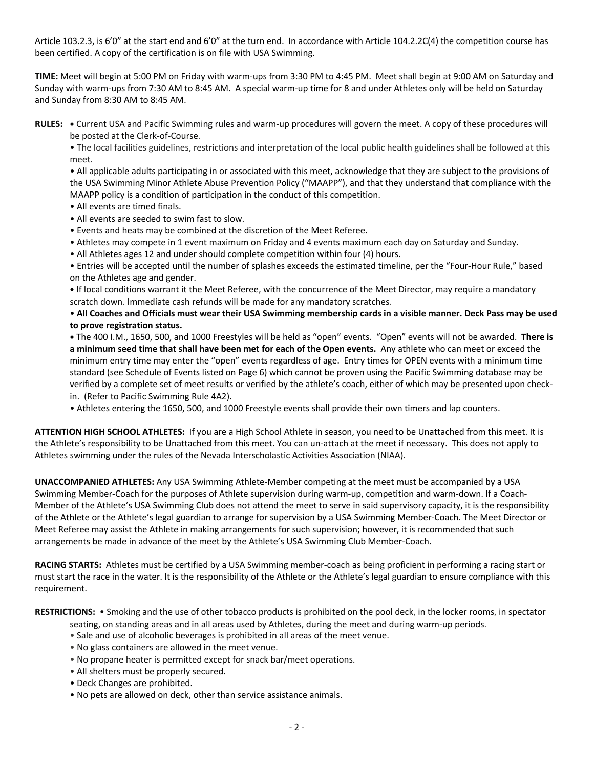Article 103.2.3, is 6'0" at the start end and 6'0" at the turn end. In accordance with Article 104.2.2C(4) the competition course has been certified. A copy of the certification is on file with USA Swimming.

**TIME:** Meet will begin at 5:00 PM on Friday with warm-ups from 3:30 PM to 4:45 PM. Meet shall begin at 9:00 AM on Saturday and Sunday with warm-ups from 7:30 AM to 8:45 AM. A special warm-up time for 8 and under Athletes only will be held on Saturday and Sunday from 8:30 AM to 8:45 AM.

**RULES: •** Current USA and Pacific Swimming rules and warm-up procedures will govern the meet. A copy of these procedures will be posted at the Clerk-of-Course.

• The local facilities guidelines, restrictions and interpretation of the local public health guidelines shall be followed at this meet.

• All applicable adults participating in or associated with this meet, acknowledge that they are subject to the provisions of the USA Swimming Minor Athlete Abuse Prevention Policy ("MAAPP"), and that they understand that compliance with the MAAPP policy is a condition of participation in the conduct of this competition.

- All events are timed finals.
- All events are seeded to swim fast to slow.
- Events and heats may be combined at the discretion of the Meet Referee.
- Athletes may compete in 1 event maximum on Friday and 4 events maximum each day on Saturday and Sunday.
- All Athletes ages 12 and under should complete competition within four (4) hours.

• Entries will be accepted until the number of splashes exceeds the estimated timeline, per the "Four-Hour Rule," based on the Athletes age and gender.

**•** If local conditions warrant it the Meet Referee, with the concurrence of the Meet Director, may require a mandatory scratch down. Immediate cash refunds will be made for any mandatory scratches.

• **All Coaches and Officials must wear their USA Swimming membership cards in a visible manner. Deck Pass may be used to prove registration status.**

**•** The 400 I.M., 1650, 500, and 1000 Freestyles will be held as "open" events. "Open" events will not be awarded. **There is a minimum seed time that shall have been met for each of the Open events.** Any athlete who can meet or exceed the minimum entry time may enter the "open" events regardless of age. Entry times for OPEN events with a minimum time standard (see Schedule of Events listed on Page 6) which cannot be proven using the Pacific Swimming database may be verified by a complete set of meet results or verified by the athlete's coach, either of which may be presented upon checkin. (Refer to Pacific Swimming Rule 4A2).

• Athletes entering the 1650, 500, and 1000 Freestyle events shall provide their own timers and lap counters.

**ATTENTION HIGH SCHOOL ATHLETES:** If you are a High School Athlete in season, you need to be Unattached from this meet. It is the Athlete's responsibility to be Unattached from this meet. You can un-attach at the meet if necessary. This does not apply to Athletes swimming under the rules of the Nevada Interscholastic Activities Association (NIAA).

**UNACCOMPANIED ATHLETES:** Any USA Swimming Athlete-Member competing at the meet must be accompanied by a USA Swimming Member-Coach for the purposes of Athlete supervision during warm-up, competition and warm-down. If a Coach-Member of the Athlete's USA Swimming Club does not attend the meet to serve in said supervisory capacity, it is the responsibility of the Athlete or the Athlete's legal guardian to arrange for supervision by a USA Swimming Member-Coach. The Meet Director or Meet Referee may assist the Athlete in making arrangements for such supervision; however, it is recommended that such arrangements be made in advance of the meet by the Athlete's USA Swimming Club Member-Coach.

**RACING STARTS:** Athletes must be certified by a USA Swimming member-coach as being proficient in performing a racing start or must start the race in the water. It is the responsibility of the Athlete or the Athlete's legal guardian to ensure compliance with this requirement.

**RESTRICTIONS:** • Smoking and the use of other tobacco products is prohibited on the pool deck, in the locker rooms, in spectator

- seating, on standing areas and in all areas used by Athletes, during the meet and during warm-up periods.
- Sale and use of alcoholic beverages is prohibited in all areas of the meet venue.
- No glass containers are allowed in the meet venue.
- No propane heater is permitted except for snack bar/meet operations.
- All shelters must be properly secured.
- Deck Changes are prohibited.
- No pets are allowed on deck, other than service assistance animals.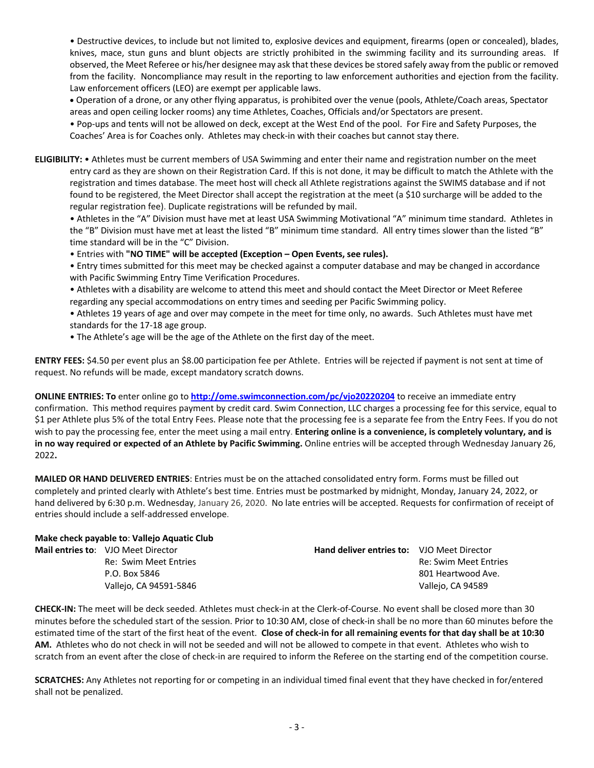• Destructive devices, to include but not limited to, explosive devices and equipment, firearms (open or concealed), blades, knives, mace, stun guns and blunt objects are strictly prohibited in the swimming facility and its surrounding areas. If observed, the Meet Referee or his/her designee may ask that these devices be stored safely away from the public or removed from the facility. Noncompliance may result in the reporting to law enforcement authorities and ejection from the facility. Law enforcement officers (LEO) are exempt per applicable laws.

• Operation of a drone, or any other flying apparatus, is prohibited over the venue (pools, Athlete/Coach areas, Spectator areas and open ceiling locker rooms) any time Athletes, Coaches, Officials and/or Spectators are present.

• Pop-ups and tents will not be allowed on deck, except at the West End of the pool. For Fire and Safety Purposes, the Coaches' Area is for Coaches only. Athletes may check-in with their coaches but cannot stay there.

**ELIGIBILITY:** • Athletes must be current members of USA Swimming and enter their name and registration number on the meet entry card as they are shown on their Registration Card. If this is not done, it may be difficult to match the Athlete with the registration and times database. The meet host will check all Athlete registrations against the SWIMS database and if not found to be registered, the Meet Director shall accept the registration at the meet (a \$10 surcharge will be added to the regular registration fee). Duplicate registrations will be refunded by mail.

• Athletes in the "A" Division must have met at least USA Swimming Motivational "A" minimum time standard. Athletes in the "B" Division must have met at least the listed "B" minimum time standard. All entry times slower than the listed "B" time standard will be in the "C" Division.

• Entries with **"NO TIME" will be accepted (Exception – Open Events, see rules).**

• Entry times submitted for this meet may be checked against a computer database and may be changed in accordance with Pacific Swimming Entry Time Verification Procedures.

• Athletes with a disability are welcome to attend this meet and should contact the Meet Director or Meet Referee regarding any special accommodations on entry times and seeding per Pacific Swimming policy.

• Athletes 19 years of age and over may compete in the meet for time only, no awards. Such Athletes must have met standards for the 17-18 age group.

• The Athlete's age will be the age of the Athlete on the first day of the meet.

**ENTRY FEES:** \$4.50 per event plus an \$8.00 participation fee per Athlete. Entries will be rejected if payment is not sent at time of request. No refunds will be made, except mandatory scratch downs.

**ONLINE ENTRIES: To** enter online go to **http://ome.swimconnection.com/pc/vjo20220204** to receive an immediate entry confirmation. This method requires payment by credit card. Swim Connection, LLC charges a processing fee for this service, equal to \$1 per Athlete plus 5% of the total Entry Fees. Please note that the processing fee is a separate fee from the Entry Fees. If you do not wish to pay the processing fee, enter the meet using a mail entry. **Entering online is a convenience, is completely voluntary, and is in no way required or expected of an Athlete by Pacific Swimming.** Online entries will be accepted through Wednesday January 26, 2022**.**

**MAILED OR HAND DELIVERED ENTRIES**: Entries must be on the attached consolidated entry form. Forms must be filled out completely and printed clearly with Athlete's best time. Entries must be postmarked by midnight, Monday, January 24, 2022, or hand delivered by 6:30 p.m. Wednesday, January 26, 2020. No late entries will be accepted. Requests for confirmation of receipt of entries should include a self-addressed envelope.

**Make check payable to**: **Vallejo Aquatic Club**

| <b>Mail entries to: VJO Meet Director</b> | <b>Hand deliver entries to: VJO Meet Director</b> |                       |
|-------------------------------------------|---------------------------------------------------|-----------------------|
| Re: Swim Meet Entries                     |                                                   | Re: Swim Meet Entries |
| P.O. Box 5846                             |                                                   | 801 Heartwood Ave.    |
| Vallejo, CA 94591-5846                    |                                                   | Vallejo, CA 94589     |
|                                           |                                                   |                       |

**CHECK-IN:** The meet will be deck seeded. Athletes must check-in at the Clerk-of-Course. No event shall be closed more than 30 minutes before the scheduled start of the session. Prior to 10:30 AM, close of check-in shall be no more than 60 minutes before the estimated time of the start of the first heat of the event. **Close of check-in for all remaining events for that day shall be at 10:30 AM.** Athletes who do not check in will not be seeded and will not be allowed to compete in that event. Athletes who wish to scratch from an event after the close of check-in are required to inform the Referee on the starting end of the competition course.

**SCRATCHES:** Any Athletes not reporting for or competing in an individual timed final event that they have checked in for/entered shall not be penalized.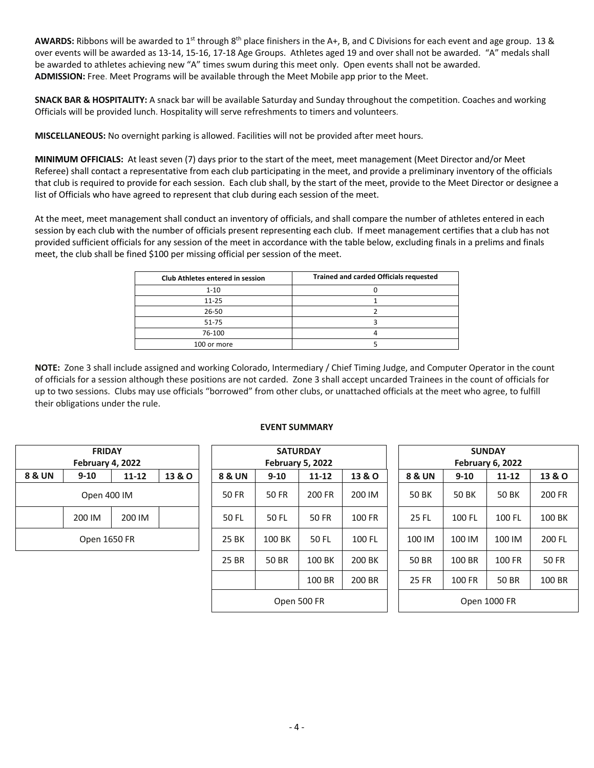**AWARDS:** Ribbons will be awarded to 1st through 8th place finishers in the A+, B, and C Divisions for each event and age group. 13 & over events will be awarded as 13-14, 15-16, 17-18 Age Groups. Athletes aged 19 and over shall not be awarded. "A" medals shall be awarded to athletes achieving new "A" times swum during this meet only. Open events shall not be awarded. **ADMISSION:** Free. Meet Programs will be available through the Meet Mobile app prior to the Meet.

**SNACK BAR & HOSPITALITY:** A snack bar will be available Saturday and Sunday throughout the competition. Coaches and working Officials will be provided lunch. Hospitality will serve refreshments to timers and volunteers.

**MISCELLANEOUS:** No overnight parking is allowed. Facilities will not be provided after meet hours.

**MINIMUM OFFICIALS:** At least seven (7) days prior to the start of the meet, meet management (Meet Director and/or Meet Referee) shall contact a representative from each club participating in the meet, and provide a preliminary inventory of the officials that club is required to provide for each session. Each club shall, by the start of the meet, provide to the Meet Director or designee a list of Officials who have agreed to represent that club during each session of the meet.

At the meet, meet management shall conduct an inventory of officials, and shall compare the number of athletes entered in each session by each club with the number of officials present representing each club. If meet management certifies that a club has not provided sufficient officials for any session of the meet in accordance with the table below, excluding finals in a prelims and finals meet, the club shall be fined \$100 per missing official per session of the meet.

| <b>Club Athletes entered in session</b> | <b>Trained and carded Officials requested</b> |
|-----------------------------------------|-----------------------------------------------|
| $1 - 10$                                |                                               |
| $11 - 25$                               |                                               |
| $26 - 50$                               |                                               |
| $51 - 75$                               |                                               |
| 76-100                                  |                                               |
| 100 or more                             |                                               |

**NOTE:** Zone 3 shall include assigned and working Colorado, Intermediary / Chief Timing Judge, and Computer Operator in the count of officials for a session although these positions are not carded. Zone 3 shall accept uncarded Trainees in the count of officials for up to two sessions. Clubs may use officials "borrowed" from other clubs, or unattached officials at the meet who agree, to fulfill their obligations under the rule.

| <b>FRIDAY</b>     |        |        |  |  |  |  |  |  |  |  |  |
|-------------------|--------|--------|--|--|--|--|--|--|--|--|--|
| February 4, 2022  |        |        |  |  |  |  |  |  |  |  |  |
| <b>8 &amp; UN</b> | 13 & O |        |  |  |  |  |  |  |  |  |  |
| Open 400 IM       |        |        |  |  |  |  |  |  |  |  |  |
|                   | 200 IM | 200 IM |  |  |  |  |  |  |  |  |  |
| Open 1650 FR      |        |        |  |  |  |  |  |  |  |  |  |

| <b>EVENT SUMMARY</b> |  |  |  |  |  |  |  |
|----------------------|--|--|--|--|--|--|--|
|----------------------|--|--|--|--|--|--|--|

|                  | <b>FRIDAY</b> |           |              |                   |                         | <b>SATURDAY</b> |        |       | <b>SUNDAY</b>     |                         |           |        |  |  |
|------------------|---------------|-----------|--------------|-------------------|-------------------------|-----------------|--------|-------|-------------------|-------------------------|-----------|--------|--|--|
| February 4, 2022 |               |           |              |                   | <b>February 5, 2022</b> |                 |        |       |                   | <b>February 6, 2022</b> |           |        |  |  |
| 8 & UN           | $9 - 10$      | $11 - 12$ | 13 & O       | <b>8 &amp; UN</b> | $9 - 10$                | $11 - 12$       | 13 & O |       | <b>8 &amp; UN</b> | $9 - 10$                | $11 - 12$ | 13 & O |  |  |
| Open 400 IM      |               |           | <b>50 FR</b> | <b>50 FR</b>      | 200 FR                  | 200 IM          |        | 50 BK | 50 BK             | 50 BK                   | 200 FR    |        |  |  |
|                  | 200 IM        | 200 IM    |              | 50 FL             | 50 FL                   | 50 FR           | 100 FR |       | 25 FL             | 100 FL                  | 100 FL    | 100 BK |  |  |
| Open 1650 FR     |               |           |              | 25 BK             | 100 BK                  | 50 FL           | 100 FL |       | 100 IM            | 100 IM                  | 100 IM    | 200 FL |  |  |
|                  |               |           | 25 BR        | 50 BR             | 100 BK                  | 200 BK          |        | 50 BR | 100 BR            | 100 FR                  | 50 FR     |        |  |  |
|                  |               |           |              |                   |                         | 100 BR          | 200 BR |       | <b>25 FR</b>      | 100 FR                  | 50 BR     | 100 BR |  |  |
| Open 500 FR      |               |           |              |                   |                         |                 |        |       |                   | Open 1000 FR            |           |        |  |  |

| YAC<br>, 2022 |        |  | <b>SUNDAY</b><br>February 6, 2022 |              |           |              |  |  |  |  |
|---------------|--------|--|-----------------------------------|--------------|-----------|--------------|--|--|--|--|
| $11 - 12$     | 13 & O |  | <b>8 &amp; UN</b>                 | $9 - 10$     | $11 - 12$ | 13 & O       |  |  |  |  |
| 200 FR        | 200 IM |  | <b>50 BK</b>                      | <b>50 BK</b> | 50 BK     | 200 FR       |  |  |  |  |
| <b>50 FR</b>  | 100 FR |  | 25 FL                             | 100 FL       | 100 FL    | 100 BK       |  |  |  |  |
| 50 FL         | 100 FL |  | 100 IM                            | 100 IM       | 100 IM    | 200 FL       |  |  |  |  |
| 100 BK        | 200 BK |  | 50 BR                             | 100 BR       | 100 FR    | <b>50 FR</b> |  |  |  |  |
| 100 BR        | 200 BR |  | <b>25 FR</b>                      | 100 FR       | 50 BR     | 100 BR       |  |  |  |  |
| 0 FR          |        |  | Open 1000 FR                      |              |           |              |  |  |  |  |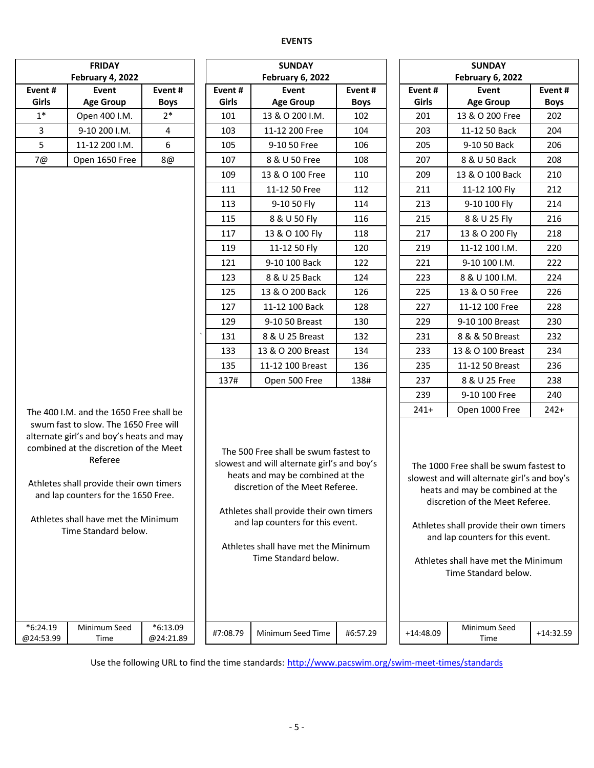## **EVENTS**

|                                                                                                                                                                                                                                                                                         | <b>FRIDAY</b>                           |                         |  |          | <b>SUNDAY</b>                                                                                                                                                                                                                                                                                             |             | <b>SUNDAY</b>    |                                                                                                                                                                                                                                                                                                            |             |  |  |
|-----------------------------------------------------------------------------------------------------------------------------------------------------------------------------------------------------------------------------------------------------------------------------------------|-----------------------------------------|-------------------------|--|----------|-----------------------------------------------------------------------------------------------------------------------------------------------------------------------------------------------------------------------------------------------------------------------------------------------------------|-------------|------------------|------------------------------------------------------------------------------------------------------------------------------------------------------------------------------------------------------------------------------------------------------------------------------------------------------------|-------------|--|--|
|                                                                                                                                                                                                                                                                                         | February 4, 2022                        |                         |  |          | <b>February 6, 2022</b>                                                                                                                                                                                                                                                                                   |             | February 6, 2022 |                                                                                                                                                                                                                                                                                                            |             |  |  |
| Event#                                                                                                                                                                                                                                                                                  | Event                                   | Event#                  |  | Event#   | Event                                                                                                                                                                                                                                                                                                     | Event #     | Event#           | Event                                                                                                                                                                                                                                                                                                      | Event#      |  |  |
| Girls                                                                                                                                                                                                                                                                                   | <b>Age Group</b>                        | <b>Boys</b>             |  | Girls    | <b>Age Group</b>                                                                                                                                                                                                                                                                                          | <b>Boys</b> | Girls            | <b>Age Group</b>                                                                                                                                                                                                                                                                                           | <b>Boys</b> |  |  |
| $1*$                                                                                                                                                                                                                                                                                    | Open 400 I.M.                           | $2*$                    |  | 101      | 13 & O 200 I.M.                                                                                                                                                                                                                                                                                           | 102         | 201              | 13 & O 200 Free                                                                                                                                                                                                                                                                                            | 202         |  |  |
| 3                                                                                                                                                                                                                                                                                       | 9-10 200 I.M.                           | $\overline{4}$          |  | 103      | 11-12 200 Free                                                                                                                                                                                                                                                                                            | 104         | 203              | 11-12 50 Back                                                                                                                                                                                                                                                                                              | 204         |  |  |
| 5                                                                                                                                                                                                                                                                                       | 11-12 200 I.M.                          | 6                       |  | 105      | 9-10 50 Free                                                                                                                                                                                                                                                                                              | 106         | 205              | 9-10 50 Back                                                                                                                                                                                                                                                                                               | 206         |  |  |
| 7@<br>Open 1650 Free<br>8@                                                                                                                                                                                                                                                              |                                         |                         |  | 107      | 8 & U 50 Free                                                                                                                                                                                                                                                                                             | 108         | 207              | 8 & U 50 Back                                                                                                                                                                                                                                                                                              | 208         |  |  |
|                                                                                                                                                                                                                                                                                         |                                         |                         |  | 109      | 13 & O 100 Free                                                                                                                                                                                                                                                                                           | 110         | 209              | 13 & O 100 Back                                                                                                                                                                                                                                                                                            | 210         |  |  |
|                                                                                                                                                                                                                                                                                         |                                         |                         |  | 111      | 11-12 50 Free                                                                                                                                                                                                                                                                                             | 112         | 211              | 11-12 100 Fly                                                                                                                                                                                                                                                                                              | 212         |  |  |
|                                                                                                                                                                                                                                                                                         |                                         |                         |  | 113      | 9-10 50 Fly                                                                                                                                                                                                                                                                                               | 114         | 213              | 9-10 100 Fly                                                                                                                                                                                                                                                                                               | 214         |  |  |
|                                                                                                                                                                                                                                                                                         |                                         |                         |  | 115      | 8 & U 50 Fly                                                                                                                                                                                                                                                                                              | 116         | 215              | 8 & U 25 Fly                                                                                                                                                                                                                                                                                               | 216         |  |  |
|                                                                                                                                                                                                                                                                                         |                                         |                         |  | 117      | 13 & O 100 Fly                                                                                                                                                                                                                                                                                            | 118         | 217              | 13 & O 200 Fly                                                                                                                                                                                                                                                                                             | 218         |  |  |
|                                                                                                                                                                                                                                                                                         |                                         |                         |  | 119      | 11-12 50 Fly                                                                                                                                                                                                                                                                                              | 120         | 219              | 11-12 100 I.M.                                                                                                                                                                                                                                                                                             | 220         |  |  |
|                                                                                                                                                                                                                                                                                         |                                         |                         |  | 121      | 9-10 100 Back                                                                                                                                                                                                                                                                                             | 122         | 221              | 9-10 100 I.M.                                                                                                                                                                                                                                                                                              | 222         |  |  |
|                                                                                                                                                                                                                                                                                         |                                         |                         |  | 123      | 8 & U 25 Back                                                                                                                                                                                                                                                                                             | 124         | 223              | 8 & U 100 I.M.                                                                                                                                                                                                                                                                                             | 224         |  |  |
|                                                                                                                                                                                                                                                                                         |                                         |                         |  | 125      | 13 & O 200 Back                                                                                                                                                                                                                                                                                           | 126         | 225              | 13 & O 50 Free                                                                                                                                                                                                                                                                                             | 226         |  |  |
|                                                                                                                                                                                                                                                                                         |                                         |                         |  | 127      | 11-12 100 Back                                                                                                                                                                                                                                                                                            | 128         | 227              | 11-12 100 Free                                                                                                                                                                                                                                                                                             | 228         |  |  |
|                                                                                                                                                                                                                                                                                         |                                         |                         |  | 129      | 9-10 50 Breast                                                                                                                                                                                                                                                                                            | 130         | 229              | 9-10 100 Breast                                                                                                                                                                                                                                                                                            | 230         |  |  |
|                                                                                                                                                                                                                                                                                         |                                         |                         |  | 131      | 8 & U 25 Breast                                                                                                                                                                                                                                                                                           | 132         | 231              | 8 & & 50 Breast                                                                                                                                                                                                                                                                                            | 232         |  |  |
|                                                                                                                                                                                                                                                                                         |                                         |                         |  | 133      | 13 & O 200 Breast                                                                                                                                                                                                                                                                                         | 134         | 233              | 13 & O 100 Breast                                                                                                                                                                                                                                                                                          | 234         |  |  |
|                                                                                                                                                                                                                                                                                         |                                         |                         |  | 135      | 11-12 100 Breast                                                                                                                                                                                                                                                                                          | 136         | 235              | 11-12 50 Breast                                                                                                                                                                                                                                                                                            | 236         |  |  |
|                                                                                                                                                                                                                                                                                         |                                         |                         |  | 137#     | Open 500 Free                                                                                                                                                                                                                                                                                             | 138#        | 237              | 8 & U 25 Free                                                                                                                                                                                                                                                                                              | 238         |  |  |
|                                                                                                                                                                                                                                                                                         |                                         |                         |  |          |                                                                                                                                                                                                                                                                                                           |             | 239              | 9-10 100 Free                                                                                                                                                                                                                                                                                              | 240         |  |  |
|                                                                                                                                                                                                                                                                                         | The 400 I.M. and the 1650 Free shall be |                         |  |          |                                                                                                                                                                                                                                                                                                           |             | $241+$           | Open 1000 Free                                                                                                                                                                                                                                                                                             | $242+$      |  |  |
| swum fast to slow. The 1650 Free will<br>alternate girl's and boy's heats and may<br>combined at the discretion of the Meet<br>Referee<br>Athletes shall provide their own timers<br>and lap counters for the 1650 Free.<br>Athletes shall have met the Minimum<br>Time Standard below. |                                         |                         |  |          | The 500 Free shall be swum fastest to<br>slowest and will alternate girl's and boy's<br>heats and may be combined at the<br>discretion of the Meet Referee.<br>Athletes shall provide their own timers<br>and lap counters for this event.<br>Athletes shall have met the Minimum<br>Time Standard below. |             |                  | The 1000 Free shall be swum fastest to<br>slowest and will alternate girl's and boy's<br>heats and may be combined at the<br>discretion of the Meet Referee.<br>Athletes shall provide their own timers<br>and lap counters for this event.<br>Athletes shall have met the Minimum<br>Time Standard below. |             |  |  |
| $*6:24.19$<br>@24:53.99                                                                                                                                                                                                                                                                 | Minimum Seed<br>Time                    | $*6:13.09$<br>@24:21.89 |  | #7:08.79 | Minimum Seed Time                                                                                                                                                                                                                                                                                         | #6:57.29    | $+14:48.09$      | Minimum Seed<br>Time                                                                                                                                                                                                                                                                                       | $+14:32.59$ |  |  |

Use the following URL to find the time standards: http://www.pacswim.org/swim-meet-times/standards